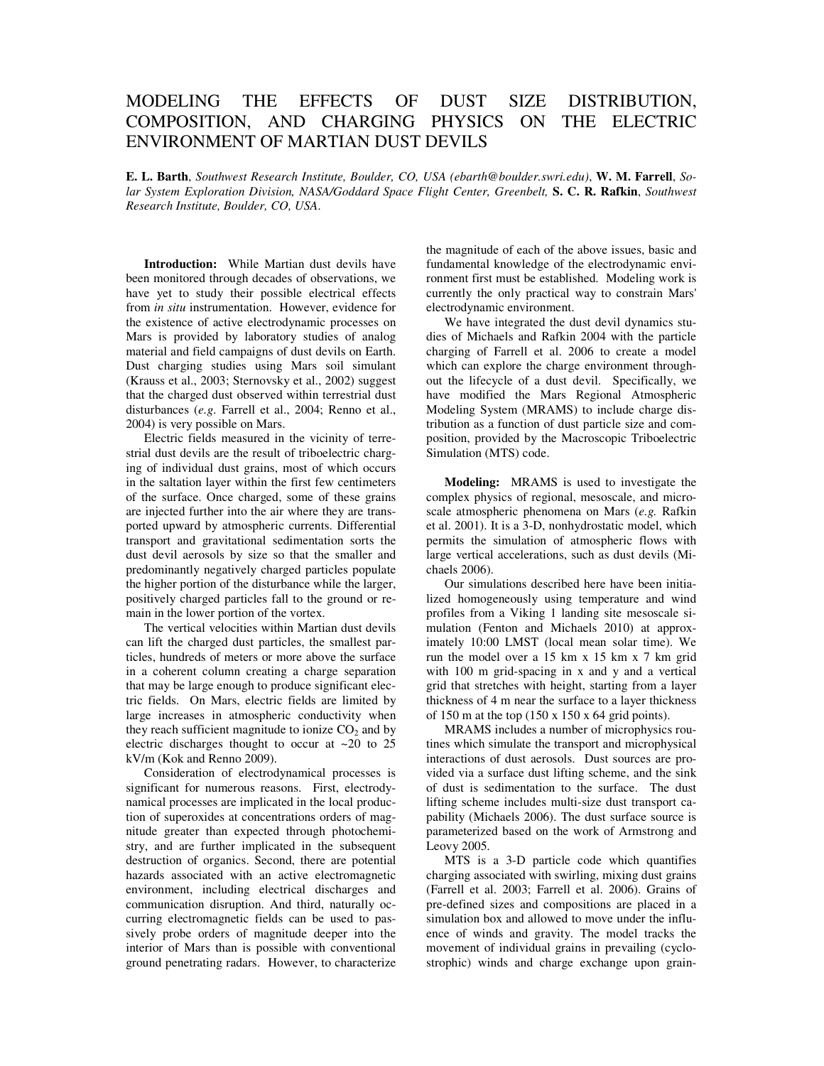## MODELING THE EFFECTS OF DUST SIZE DISTRIBUTION, COMPOSITION, AND CHARGING PHYSICS ON THE ELECTRIC ENVIRONMENT OF MARTIAN DUST DEVILS

**E. L. Barth**, *Southwest Research Institute, Boulder, CO, USA (ebarth@boulder.swri.edu)*, **W. M. Farrell**, *Solar System Exploration Division, NASA/Goddard Space Flight Center, Greenbelt,* **S. C. R. Rafkin**, *Southwest Research Institute, Boulder, CO, USA*.

**Introduction:** While Martian dust devils have been monitored through decades of observations, we have yet to study their possible electrical effects from *in situ* instrumentation. However, evidence for the existence of active electrodynamic processes on Mars is provided by laboratory studies of analog material and field campaigns of dust devils on Earth. Dust charging studies using Mars soil simulant (Krauss et al., 2003; Sternovsky et al., 2002) suggest that the charged dust observed within terrestrial dust disturbances (*e.g*. Farrell et al., 2004; Renno et al., 2004) is very possible on Mars.

Electric fields measured in the vicinity of terrestrial dust devils are the result of triboelectric charging of individual dust grains, most of which occurs in the saltation layer within the first few centimeters of the surface. Once charged, some of these grains are injected further into the air where they are transported upward by atmospheric currents. Differential transport and gravitational sedimentation sorts the dust devil aerosols by size so that the smaller and predominantly negatively charged particles populate the higher portion of the disturbance while the larger, positively charged particles fall to the ground or remain in the lower portion of the vortex.

The vertical velocities within Martian dust devils can lift the charged dust particles, the smallest particles, hundreds of meters or more above the surface in a coherent column creating a charge separation that may be large enough to produce significant electric fields. On Mars, electric fields are limited by large increases in atmospheric conductivity when they reach sufficient magnitude to ionize  $CO<sub>2</sub>$  and by electric discharges thought to occur at  $\sim$ 20 to 25 kV/m (Kok and Renno 2009).

Consideration of electrodynamical processes is significant for numerous reasons. First, electrodynamical processes are implicated in the local production of superoxides at concentrations orders of magnitude greater than expected through photochemistry, and are further implicated in the subsequent destruction of organics. Second, there are potential hazards associated with an active electromagnetic environment, including electrical discharges and communication disruption. And third, naturally occurring electromagnetic fields can be used to passively probe orders of magnitude deeper into the interior of Mars than is possible with conventional ground penetrating radars. However, to characterize the magnitude of each of the above issues, basic and fundamental knowledge of the electrodynamic environment first must be established. Modeling work is currently the only practical way to constrain Mars' electrodynamic environment.

We have integrated the dust devil dynamics studies of Michaels and Rafkin 2004 with the particle charging of Farrell et al. 2006 to create a model which can explore the charge environment throughout the lifecycle of a dust devil. Specifically, we have modified the Mars Regional Atmospheric Modeling System (MRAMS) to include charge distribution as a function of dust particle size and composition, provided by the Macroscopic Triboelectric Simulation (MTS) code.

**Modeling:** MRAMS is used to investigate the complex physics of regional, mesoscale, and microscale atmospheric phenomena on Mars (*e.g.* Rafkin et al. 2001). It is a 3-D, nonhydrostatic model, which permits the simulation of atmospheric flows with large vertical accelerations, such as dust devils (Michaels 2006).

Our simulations described here have been initialized homogeneously using temperature and wind profiles from a Viking 1 landing site mesoscale simulation (Fenton and Michaels 2010) at approximately 10:00 LMST (local mean solar time). We run the model over a 15 km x 15 km x 7 km grid with 100 m grid-spacing in x and y and a vertical grid that stretches with height, starting from a layer thickness of 4 m near the surface to a layer thickness of 150 m at the top  $(150 \times 150 \times 64 \text{ grid points}).$ 

MRAMS includes a number of microphysics routines which simulate the transport and microphysical interactions of dust aerosols. Dust sources are provided via a surface dust lifting scheme, and the sink of dust is sedimentation to the surface. The dust lifting scheme includes multi-size dust transport capability (Michaels 2006). The dust surface source is parameterized based on the work of Armstrong and Leovy 2005.

MTS is a 3-D particle code which quantifies charging associated with swirling, mixing dust grains (Farrell et al. 2003; Farrell et al. 2006). Grains of pre-defined sizes and compositions are placed in a simulation box and allowed to move under the influence of winds and gravity. The model tracks the movement of individual grains in prevailing (cyclostrophic) winds and charge exchange upon grain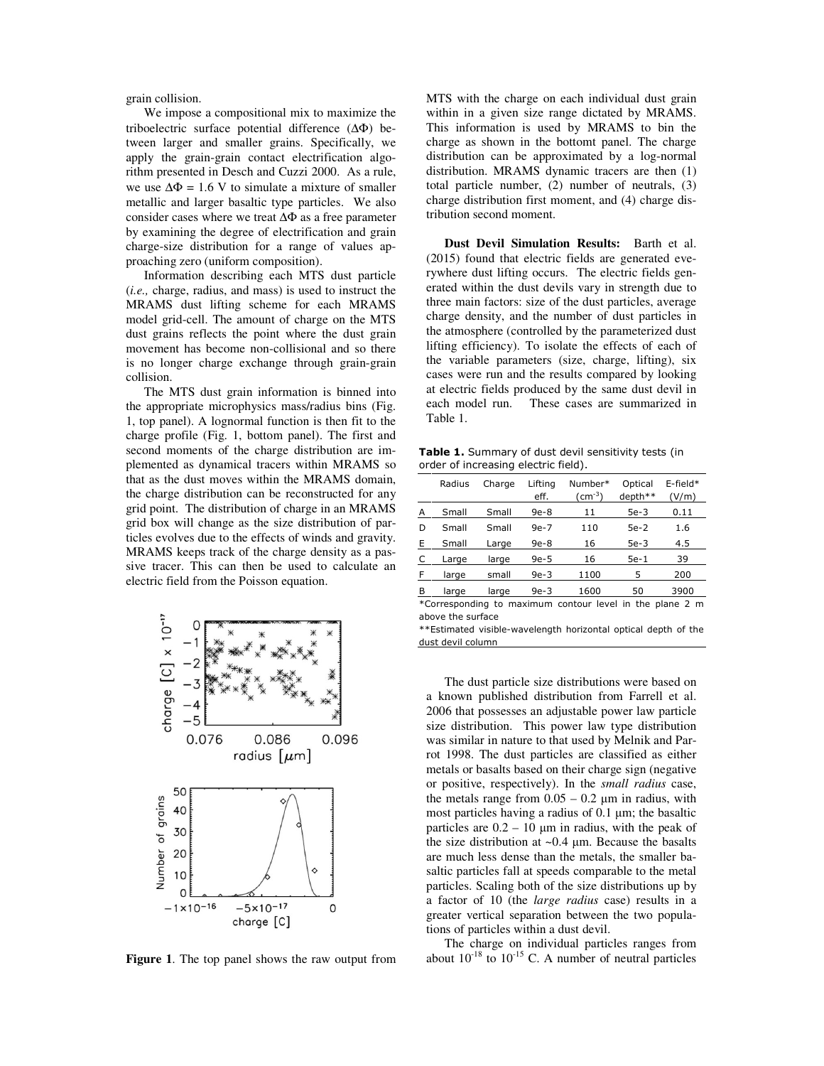grain collision.

We impose a compositional mix to maximize the triboelectric surface potential difference (∆Φ) between larger and smaller grains. Specifically, we apply the grain-grain contact electrification algorithm presented in Desch and Cuzzi 2000. As a rule, we use  $\Delta \Phi = 1.6$  V to simulate a mixture of smaller metallic and larger basaltic type particles. We also consider cases where we treat ∆Φ as a free parameter by examining the degree of electrification and grain charge-size distribution for a range of values approaching zero (uniform composition).

Information describing each MTS dust particle (*i.e.,* charge, radius, and mass) is used to instruct the MRAMS dust lifting scheme for each MRAMS model grid-cell. The amount of charge on the MTS dust grains reflects the point where the dust grain movement has become non-collisional and so there is no longer charge exchange through grain-grain collision.

The MTS dust grain information is binned into the appropriate microphysics mass/radius bins (Fig. 1, top panel). A lognormal function is then fit to the charge profile (Fig. 1, bottom panel). The first and second moments of the charge distribution are implemented as dynamical tracers within MRAMS so that as the dust moves within the MRAMS domain, the charge distribution can be reconstructed for any grid point. The distribution of charge in an MRAMS grid box will change as the size distribution of particles evolves due to the effects of winds and gravity. MRAMS keeps track of the charge density as a passive tracer. This can then be used to calculate an electric field from the Poisson equation.



**Figure 1**. The top panel shows the raw output from

MTS with the charge on each individual dust grain within in a given size range dictated by MRAMS. This information is used by MRAMS to bin the charge as shown in the bottomt panel. The charge distribution can be approximated by a log-normal distribution. MRAMS dynamic tracers are then (1) total particle number, (2) number of neutrals, (3) charge distribution first moment, and (4) charge distribution second moment.

**Dust Devil Simulation Results:** Barth et al. (2015) found that electric fields are generated everywhere dust lifting occurs. The electric fields generated within the dust devils vary in strength due to three main factors: size of the dust particles, average charge density, and the number of dust particles in the atmosphere (controlled by the parameterized dust lifting efficiency). To isolate the effects of each of the variable parameters (size, charge, lifting), six cases were run and the results compared by looking at electric fields produced by the same dust devil in each model run. These cases are summarized in Table 1.

Table 1. Summary of dust devil sensitivity tests (in order of increasing electric field).

|          | Radius | Charge | Liftina<br>eff. | Number*<br>$(cm^{-3})$ | Optical<br>depth**    | E-field*<br>(V/m) |
|----------|--------|--------|-----------------|------------------------|-----------------------|-------------------|
| A        | Small  | Small  | $9e-8$          | 11                     | $5e-3$                | 0.11              |
| D        | Small  | Small  | $9e-7$          | 110                    | $5e-2$                | 1.6               |
| Ε        | Small  | Large  | $9e-8$          | 16                     | $5e-3$                | 4.5               |
|          | Large  | large  | $9e-5$          | 16                     | $5e-1$                | 39                |
| F        | large  | small  | $9e-3$          | 1100                   | 5                     | 200               |
| В        | large  | large  | $9e-3$          | 1600                   | 50                    | 3900              |
| $\cdots$ |        | $\sim$ |                 | $\sim$ $\sim$ $\sim$   | $\cdots$<br>$\cdot$ . | $\sim$            |

\*Corresponding to maximum contour level in the plane 2 m above the surface

\*\*Estimated visible-wavelength horizontal optical depth of the dust devil column

The dust particle size distributions were based on a known published distribution from Farrell et al. 2006 that possesses an adjustable power law particle size distribution. This power law type distribution was similar in nature to that used by Melnik and Parrot 1998. The dust particles are classified as either metals or basalts based on their charge sign (negative or positive, respectively). In the *small radius* case, the metals range from  $0.05 - 0.2 \mu m$  in radius, with most particles having a radius of 0.1 µm; the basaltic particles are  $0.2 - 10 \mu m$  in radius, with the peak of the size distribution at  $\sim 0.4$  µm. Because the basalts are much less dense than the metals, the smaller basaltic particles fall at speeds comparable to the metal particles. Scaling both of the size distributions up by a factor of 10 (the *large radius* case) results in a greater vertical separation between the two populations of particles within a dust devil.

The charge on individual particles ranges from about  $10^{-18}$  to  $10^{-15}$  C. A number of neutral particles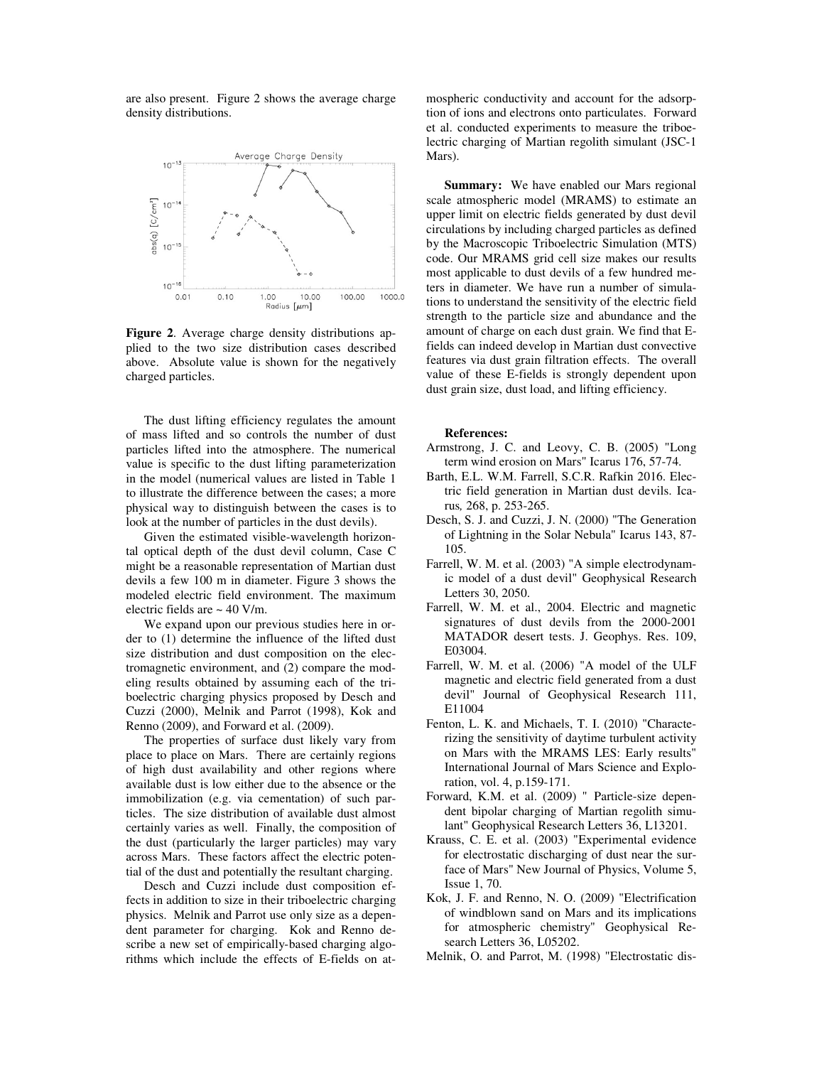are also present. Figure 2 shows the average charge density distributions.



**Figure 2**. Average charge density distributions applied to the two size distribution cases described above. Absolute value is shown for the negatively charged particles.

The dust lifting efficiency regulates the amount of mass lifted and so controls the number of dust particles lifted into the atmosphere. The numerical value is specific to the dust lifting parameterization in the model (numerical values are listed in Table 1 to illustrate the difference between the cases; a more physical way to distinguish between the cases is to look at the number of particles in the dust devils).

Given the estimated visible-wavelength horizontal optical depth of the dust devil column, Case C might be a reasonable representation of Martian dust devils a few 100 m in diameter. Figure 3 shows the modeled electric field environment. The maximum electric fields are  $\sim$  40 V/m.

We expand upon our previous studies here in order to (1) determine the influence of the lifted dust size distribution and dust composition on the electromagnetic environment, and (2) compare the modeling results obtained by assuming each of the triboelectric charging physics proposed by Desch and Cuzzi (2000), Melnik and Parrot (1998), Kok and Renno (2009), and Forward et al. (2009).

The properties of surface dust likely vary from place to place on Mars. There are certainly regions of high dust availability and other regions where available dust is low either due to the absence or the immobilization (e.g. via cementation) of such particles. The size distribution of available dust almost certainly varies as well. Finally, the composition of the dust (particularly the larger particles) may vary across Mars. These factors affect the electric potential of the dust and potentially the resultant charging.

Desch and Cuzzi include dust composition effects in addition to size in their triboelectric charging physics. Melnik and Parrot use only size as a dependent parameter for charging. Kok and Renno describe a new set of empirically-based charging algorithms which include the effects of E-fields on atmospheric conductivity and account for the adsorption of ions and electrons onto particulates. Forward et al. conducted experiments to measure the triboelectric charging of Martian regolith simulant (JSC-1 Mars).

**Summary:** We have enabled our Mars regional scale atmospheric model (MRAMS) to estimate an upper limit on electric fields generated by dust devil circulations by including charged particles as defined by the Macroscopic Triboelectric Simulation (MTS) code. Our MRAMS grid cell size makes our results most applicable to dust devils of a few hundred meters in diameter. We have run a number of simulations to understand the sensitivity of the electric field strength to the particle size and abundance and the amount of charge on each dust grain. We find that Efields can indeed develop in Martian dust convective features via dust grain filtration effects. The overall value of these E-fields is strongly dependent upon dust grain size, dust load, and lifting efficiency.

## **References:**

- Armstrong, J. C. and Leovy, C. B. (2005) "Long term wind erosion on Mars" Icarus 176, 57-74.
- Barth, E.L. W.M. Farrell, S.C.R. Rafkin 2016. Electric field generation in Martian dust devils. Icarus*,* 268, p. 253-265.
- Desch, S. J. and Cuzzi, J. N. (2000) "The Generation of Lightning in the Solar Nebula" Icarus 143, 87- 105.
- Farrell, W. M. et al. (2003) "A simple electrodynamic model of a dust devil" Geophysical Research Letters 30, 2050.
- Farrell, W. M. et al., 2004. Electric and magnetic signatures of dust devils from the 2000-2001 MATADOR desert tests. J. Geophys. Res. 109, E03004.
- Farrell, W. M. et al. (2006) "A model of the ULF magnetic and electric field generated from a dust devil" Journal of Geophysical Research 111, E11004
- Fenton, L. K. and Michaels, T. I. (2010) "Characterizing the sensitivity of daytime turbulent activity on Mars with the MRAMS LES: Early results" International Journal of Mars Science and Exploration, vol. 4, p.159-171.
- Forward, K.M. et al. (2009) " Particle-size dependent bipolar charging of Martian regolith simulant" Geophysical Research Letters 36, L13201.
- Krauss, C. E. et al. (2003) "Experimental evidence for electrostatic discharging of dust near the surface of Mars" New Journal of Physics, Volume 5, Issue 1, 70.
- Kok, J. F. and Renno, N. O. (2009) "Electrification of windblown sand on Mars and its implications for atmospheric chemistry" Geophysical Research Letters 36, L05202.
- Melnik, O. and Parrot, M. (1998) "Electrostatic dis-